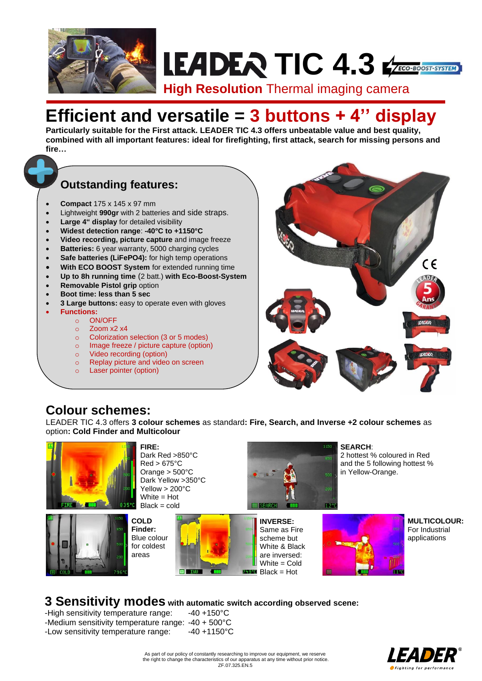

# **LEADER TIC 4.3** CHOOST-SYSTEM

**High Resolution** Thermal imaging camera

## **Efficient and versatile = 3 buttons + 4'' display**

**Particularly suitable for the First attack. LEADER TIC 4.3 offers unbeatable value and best quality, combined with all important features: ideal for firefighting, first attack, search for missing persons and fire…**

## **Outstanding features:**

- **Compact** 175 x 145 x 97 mm
- Lightweight **990gr** with 2 batteries and side straps.
- Large 4" display for detailed visibility
- **Widest detection range**: **-40°C to +1150°C**
- **Video recording, picture capture** and image freeze
- **Batteries:** 6 year warranty, 5000 charging cycles
- Safe batteries (LiFePO4): for high temp operations
- **With ECO BOOST System** for extended running time
- **Up to 8h running time** (2 batt.) **with Eco-Boost-System**
- **Removable Pistol grip option**
- 
- **Boot time: less than 5 sec**
- **3 Large buttons:** easy to operate even with gloves
- **Functions:**
	- o ON/OFF
	- o Zoom x2 x4
	- o Colorization selection (3 or 5 modes)
	- o Image freeze / picture capture (option)
	- o Video recording (option)
	- o Replay picture and video on screen
	- o Laser pointer (option)



### **Colour schemes:**

LEADER TIC 4.3 offers **3 colour schemes** as standard**: Fire, Search, and Inverse +2 colour schemes** as option**: Cold Finder and Multicolour**





**FIRE:**  Dark Red >850°C Red > 675°C Orange > 500°C Dark Yellow > 350°C Yellow > 200°C White = Hot  $Black = cold$ 



**SEARCH**: 2 hottest % coloured in Red and the 5 following hottest % in Yellow-Orange.





**MULTICOLOUR:**  For Industrial applications

#### **3 Sensitivity modes with automatic switch according observed scene:**

-High sensitivity temperature range: -40 +150°C -Medium sensitivity temperature range: -40 + 500°C -Low sensitivity temperature range: -40 +1150°C



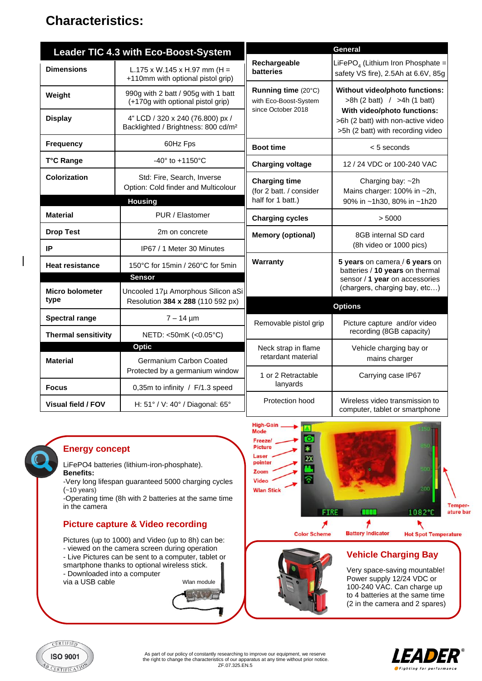## **Characteristics:**

|                                | Leader TIC 4.3 with Eco-Boost-System                                                | General                                                            |                                                                                                        |  |  |  |
|--------------------------------|-------------------------------------------------------------------------------------|--------------------------------------------------------------------|--------------------------------------------------------------------------------------------------------|--|--|--|
| <b>Dimensions</b>              | L.175 x W.145 x H.97 mm (H =<br>+110mm with optional pistol grip)                   | Rechargeable<br>batteries                                          | LiFePO <sub>4</sub> (Lithium Iron Phosphate =<br>safety VS fire), 2.5Ah at 6.6V, 85g                   |  |  |  |
| Weight                         | 990g with 2 batt / 905g with 1 batt<br>(+170g with optional pistol grip)            | Running time (20°C)<br>with Eco-Boost-System<br>since October 2018 | Without video/photo functions:<br>>8h (2 batt) / >4h (1 batt)                                          |  |  |  |
| <b>Display</b>                 | 4" LCD / 320 x 240 (76.800) px /<br>Backlighted / Brightness: 800 cd/m <sup>2</sup> |                                                                    | With video/photo functions:<br>>6h (2 batt) with non-active video<br>>5h (2 batt) with recording video |  |  |  |
| <b>Frequency</b>               | 60Hz Fps                                                                            | <b>Boot time</b>                                                   | $< 5$ seconds                                                                                          |  |  |  |
| T°C Range                      | -40° to +1150°C                                                                     | <b>Charging voltage</b>                                            | 12 / 24 VDC or 100-240 VAC                                                                             |  |  |  |
| Colorization                   | Std: Fire, Search, Inverse<br>Option: Cold finder and Multicolour                   | <b>Charging time</b><br>(for 2 batt. / consider                    | Charging bay: ~2h<br>Mains charger: 100% in ~2h,                                                       |  |  |  |
|                                | <b>Housing</b>                                                                      | half for 1 batt.)                                                  | 90% in ~1h30, 80% in ~1h20                                                                             |  |  |  |
| <b>Material</b>                | PUR / Elastomer                                                                     | <b>Charging cycles</b>                                             | > 5000                                                                                                 |  |  |  |
| <b>Drop Test</b>               | 2m on concrete                                                                      | <b>Memory (optional)</b>                                           | 8GB internal SD card                                                                                   |  |  |  |
| IP                             | IP67 / 1 Meter 30 Minutes                                                           |                                                                    | (8h video or 1000 pics)                                                                                |  |  |  |
| <b>Heat resistance</b>         | 150°C for 15min / 260°C for 5min                                                    | Warranty                                                           | 5 years on camera / 6 years on<br>batteries / 10 years on thermal<br>sensor / 1 year on accessories    |  |  |  |
|                                | <b>Sensor</b>                                                                       |                                                                    |                                                                                                        |  |  |  |
| <b>Micro bolometer</b><br>type | Uncooled 17µ Amorphous Silicon aSi                                                  |                                                                    | (chargers, charging bay, etc)                                                                          |  |  |  |
|                                | Resolution 384 x 288 (110 592 px)                                                   | <b>Options</b>                                                     |                                                                                                        |  |  |  |
| <b>Spectral range</b>          | $7 - 14 \mu m$                                                                      | Removable pistol grip                                              | Picture capture and/or video                                                                           |  |  |  |
| <b>Thermal sensitivity</b>     | NETD: <50mK (<0.05°C)                                                               |                                                                    | recording (8GB capacity)                                                                               |  |  |  |
|                                | <b>Optic</b>                                                                        | Neck strap in flame                                                | Vehicle charging bay or                                                                                |  |  |  |
| <b>Material</b>                | Germanium Carbon Coated                                                             | retardant material                                                 | mains charger                                                                                          |  |  |  |
|                                | Protected by a germanium window                                                     | 1 or 2 Retractable                                                 | Carrying case IP67                                                                                     |  |  |  |
| <b>Focus</b>                   | 0,35m to infinity / F/1.3 speed                                                     | lanyards                                                           |                                                                                                        |  |  |  |
| <b>Visual field / FOV</b>      | H: 51° / V: 40° / Diagonal: 65°                                                     | Protection hood                                                    | Wireless video transmission to<br>computer, tablet or smartphone                                       |  |  |  |

#### **Energy concept**

LiFePO4 batteries (lithium-iron-phosphate). **Benefits:**

-Very long lifespan guaranteed 5000 charging cycles (~10 years)

-Operating time (8h with 2 batteries at the same time in the camera

#### **Picture capture & Video recording**

Pictures (up to 1000) and Video (up to 8h) can be: - viewed on the camera screen during operation - Live Pictures can be sent to a computer, tablet or smartphone thanks to optional wireless stick. - Downloaded into a computer

via a USB cable





#### **Vehicle Charging Bay**

Very space-saving mountable! Power supply 12/24 VDC or 100-240 VAC. Can charge up to 4 batteries at the same time (2 in the camera and 2 spares)



As part of our policy of constantly researching to improve our equipment, we reserve the right to change the characteristics of our apparatus at any time without prior notice. ZF.07.325.EN.5

Wlan module